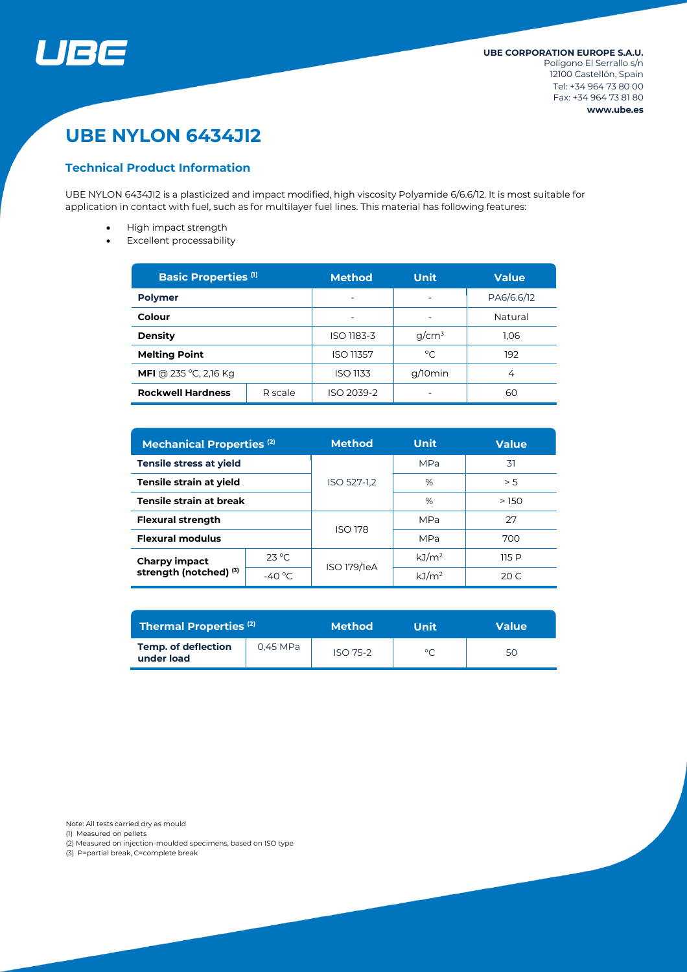

# **UBE NYLON 6434JI2**

# **Technical Product Information**

UBE NYLON 6434JI2 is a plasticized and impact modified, high viscosity Polyamide 6/6.6/12. It is most suitable for application in contact with fuel, such as for multilayer fuel lines. This material has following features:

- High impact strength
- Excellent processability

| <b>Basic Properties (1)</b>         |  | <b>Method</b>    | <b>Unit</b>              | <b>Value</b> |  |
|-------------------------------------|--|------------------|--------------------------|--------------|--|
| <b>Polymer</b>                      |  | ۰                | ۰                        | PA6/6.6/12   |  |
| Colour                              |  |                  |                          | Natural      |  |
| <b>Density</b>                      |  | ISO 1183-3       | $q/cm^3$                 | 1.06         |  |
| <b>Melting Point</b>                |  | <b>ISO 11357</b> | $^{\circ}$ C             | 192          |  |
| <b>MFI</b> @ 235 °C, 2,16 Kg        |  | ISO 1133         | g/10min                  | 4            |  |
| <b>Rockwell Hardness</b><br>R scale |  | ISO 2039-2       | $\overline{\phantom{0}}$ | 60           |  |

| <b>Mechanical Properties (2)</b>                          |                  | <b>Method</b> | <b>Unit</b>       | <b>Value</b> |  |
|-----------------------------------------------------------|------------------|---------------|-------------------|--------------|--|
| <b>Tensile stress at yield</b>                            |                  |               | <b>MPa</b>        | 31           |  |
| Tensile strain at yield                                   |                  | ISO 527-1,2   | %                 | > 5          |  |
| Tensile strain at break                                   |                  |               | %                 | >150         |  |
| <b>Flexural strength</b>                                  |                  |               | <b>MPa</b>        | 27           |  |
| <b>Flexural modulus</b>                                   |                  | ISO 178       | <b>MPa</b>        | 700          |  |
| <b>Charpy impact</b><br>strength (notched) <sup>(3)</sup> | $23^{\circ}$ C   | ISO 179/1eA   | kJ/m <sup>2</sup> | 115P         |  |
|                                                           | -40 $^{\circ}$ C |               | kJ/m <sup>2</sup> | 20 C         |  |

| <b>Thermal Properties (2)</b>            |          | <b>Method</b> | Unit    | Value |  |
|------------------------------------------|----------|---------------|---------|-------|--|
| <b>Temp. of deflection</b><br>under load | 0.45 MPa | $ISO$ 75-2    | $\circ$ | 50    |  |

Note: All tests carried dry as mould

(1) Measured on pellets

(2) Measured on injection-moulded specimens, based on ISO type

(3) P=partial break, C=complete break